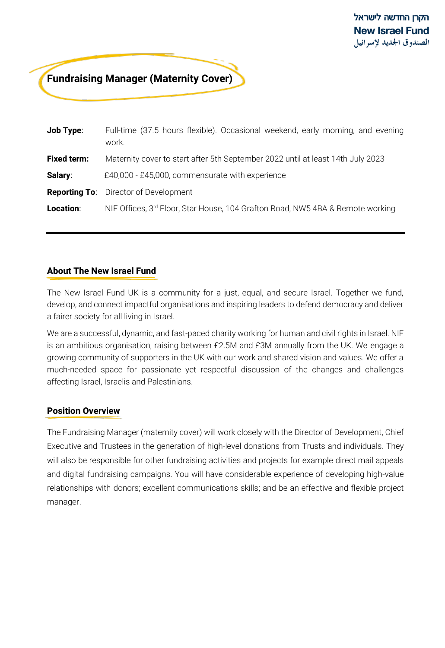# **Fundraising Manager (Maternity Cover)**

| <b>Job Type:</b>   | Full-time (37.5 hours flexible). Occasional weekend, early morning, and evening<br>work.   |
|--------------------|--------------------------------------------------------------------------------------------|
| <b>Fixed term:</b> | Maternity cover to start after 5th September 2022 until at least 14th July 2023            |
| Salary:            | £40,000 - £45,000, commensurate with experience                                            |
|                    | <b>Reporting To:</b> Director of Development                                               |
| Location:          | NIF Offices, 3 <sup>rd</sup> Floor, Star House, 104 Grafton Road, NW5 4BA & Remote working |

## **About The New Israel Fund**

The New Israel Fund UK is a community for a just, equal, and secure Israel. Together we fund, develop, and connect impactful organisations and inspiring leaders to defend democracy and deliver a fairer society for all living in Israel.

We are a successful, dynamic, and fast-paced charity working for human and civil rights in Israel. NIF is an ambitious organisation, raising between £2.5M and £3M annually from the UK. We engage a growing community of supporters in the UK with our work and shared vision and values. We offer a much-needed space for passionate yet respectful discussion of the changes and challenges affecting Israel, Israelis and Palestinians.

## **Position Overview**

The Fundraising Manager (maternity cover) will work closely with the Director of Development, Chief Executive and Trustees in the generation of high-level donations from Trusts and individuals. They will also be responsible for other fundraising activities and projects for example direct mail appeals and digital fundraising campaigns. You will have considerable experience of developing high-value relationships with donors; excellent communications skills; and be an effective and flexible project manager.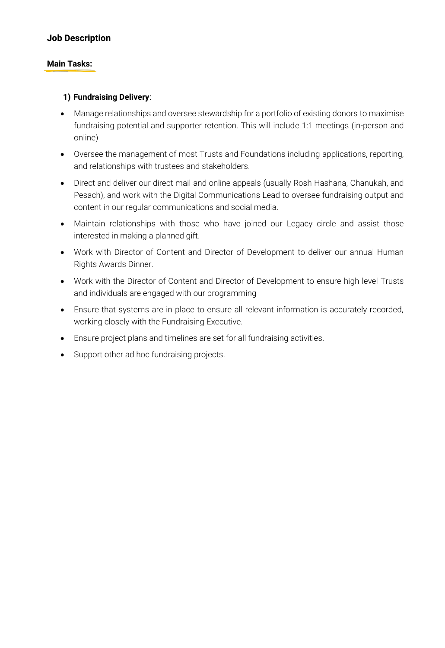# **Job Description**

### **Main Tasks:**

### **1) Fundraising Delivery**:

- Manage relationships and oversee stewardship for a portfolio of existing donors to maximise fundraising potential and supporter retention. This will include 1:1 meetings (in-person and online)
- Oversee the management of most Trusts and Foundations including applications, reporting, and relationships with trustees and stakeholders.
- Direct and deliver our direct mail and online appeals (usually Rosh Hashana, Chanukah, and Pesach), and work with the Digital Communications Lead to oversee fundraising output and content in our regular communications and social media.
- Maintain relationships with those who have joined our Legacy circle and assist those interested in making a planned gift.
- Work with Director of Content and Director of Development to deliver our annual Human Rights Awards Dinner.
- Work with the Director of Content and Director of Development to ensure high level Trusts and individuals are engaged with our programming
- Ensure that systems are in place to ensure all relevant information is accurately recorded, working closely with the Fundraising Executive.
- Ensure project plans and timelines are set for all fundraising activities.
- Support other ad hoc fundraising projects.